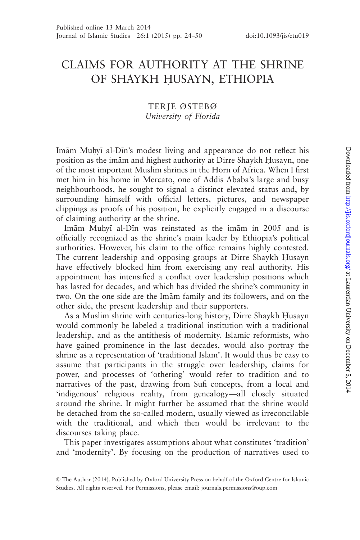# CLAIMS FOR AUTHORITY AT THE SHRINE OF SHAYKH HUSAYN, ETHIOPIA

## TERJE ØSTEBØ University of Florida

Imam Muhyi al-Din's modest living and appearance do not reflect his position as the imam and highest authority at Dirre Shaykh Husayn, one of the most important Muslim shrines in the Horn of Africa. When I first met him in his home in Mercato, one of Addis Ababa's large and busy neighbourhoods, he sought to signal a distinct elevated status and, by surrounding himself with official letters, pictures, and newspaper clippings as proofs of his position, he explicitly engaged in a discourse of claiming authority at the shrine.

Imām Muhyī al-Dīn was reinstated as the imām in 2005 and is officially recognized as the shrine's main leader by Ethiopia's political authorities. However, his claim to the office remains highly contested. The current leadership and opposing groups at Dirre Shaykh Husayn have effectively blocked him from exercising any real authority. His appointment has intensified a conflict over leadership positions which has lasted for decades, and which has divided the shrine's community in two. On the one side are the Imam family and its followers, and on the other side, the present leadership and their supporters.

As a Muslim shrine with centuries-long history, Dirre Shaykh Husayn would commonly be labeled a traditional institution with a traditional leadership, and as the antithesis of modernity. Islamic reformists, who have gained prominence in the last decades, would also portray the shrine as a representation of 'traditional Islam'. It would thus be easy to assume that participants in the struggle over leadership, claims for power, and processes of 'othering' would refer to tradition and to narratives of the past, drawing from Sufi concepts, from a local and 'indigenous' religious reality, from genealogy—all closely situated around the shrine. It might further be assumed that the shrine would be detached from the so-called modern, usually viewed as irreconcilable with the traditional, and which then would be irrelevant to the discourses taking place.

This paper investigates assumptions about what constitutes 'tradition' and 'modernity'. By focusing on the production of narratives used to

<sup>-</sup> The Author (2014). Published by Oxford University Press on behalf of the Oxford Centre for Islamic Studies. All rights reserved. For Permissions, please email: journals.permissions@oup.com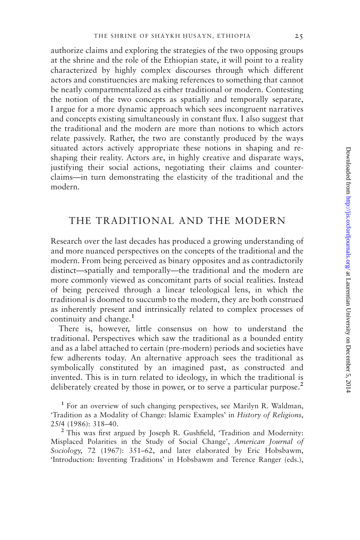authorize claims and exploring the strategies of the two opposing groups at the shrine and the role of the Ethiopian state, it will point to a reality characterized by highly complex discourses through which different actors and constituencies are making references to something that cannot be neatly compartmentalized as either traditional or modern. Contesting the notion of the two concepts as spatially and temporally separate, I argue for a more dynamic approach which sees incongruent narratives and concepts existing simultaneously in constant flux. I also suggest that the traditional and the modern are more than notions to which actors relate passively. Rather, the two are constantly produced by the ways situated actors actively appropriate these notions in shaping and reshaping their reality. Actors are, in highly creative and disparate ways, justifying their social actions, negotiating their claims and counterclaims—in turn demonstrating the elasticity of the traditional and the modern.

# THE TRADITIONAL AND THE MODERN

Research over the last decades has produced a growing understanding of and more nuanced perspectives on the concepts of the traditional and the modern. From being perceived as binary opposites and as contradictorily distinct—spatially and temporally—the traditional and the modern are more commonly viewed as concomitant parts of social realities. Instead of being perceived through a linear teleological lens, in which the traditional is doomed to succumb to the modern, they are both construed as inherently present and intrinsically related to complex processes of continuity and change. $1$ 

There is, however, little consensus on how to understand the traditional. Perspectives which saw the traditional as a bounded entity and as a label attached to certain (pre-modern) periods and societies have few adherents today. An alternative approach sees the traditional as symbolically constituted by an imagined past, as constructed and invented. This is in turn related to ideology, in which the traditional is deliberately created by those in power, or to serve a particular purpose.<sup>2</sup>

<sup>1</sup> For an overview of such changing perspectives, see Marilyn R. Waldman, 'Tradition as a Modality of Change: Islamic Examples' in History of Religions, 25/4 (1986): 318–40.<br><sup>2</sup> This was first argued by Joseph R. Gushfield, 'Tradition and Modernity:

Misplaced Polarities in the Study of Social Change', American Journal of Sociology, 72 (1967): 351–62, and later elaborated by Eric Hobsbawm, 'Introduction: Inventing Traditions' in Hobsbawm and Terence Ranger (eds.),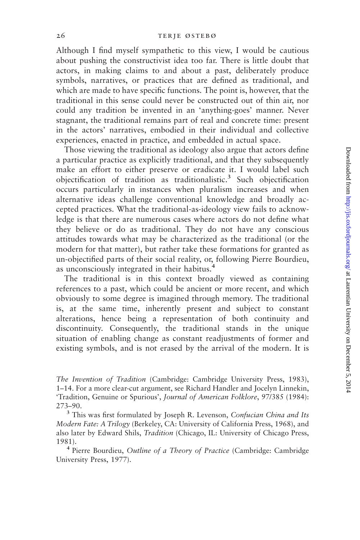Although I find myself sympathetic to this view, I would be cautious about pushing the constructivist idea too far. There is little doubt that actors, in making claims to and about a past, deliberately produce symbols, narratives, or practices that are defined as traditional, and which are made to have specific functions. The point is, however, that the traditional in this sense could never be constructed out of thin air, nor could any tradition be invented in an 'anything-goes' manner. Never stagnant, the traditional remains part of real and concrete time: present in the actors' narratives, embodied in their individual and collective experiences, enacted in practice, and embedded in actual space.

Those viewing the traditional as ideology also argue that actors define a particular practice as explicitly traditional, and that they subsequently make an effort to either preserve or eradicate it. I would label such objectification of tradition as traditionalistic.<sup>3</sup> Such objectification occurs particularly in instances when pluralism increases and when alternative ideas challenge conventional knowledge and broadly accepted practices. What the traditional-as-ideology view fails to acknowledge is that there are numerous cases where actors do not define what they believe or do as traditional. They do not have any conscious attitudes towards what may be characterized as the traditional (or the modern for that matter), but rather take these formations for granted as un-objectified parts of their social reality, or, following Pierre Bourdieu, as unconsciously integrated in their habitus.<sup>4</sup>

The traditional is in this context broadly viewed as containing references to a past, which could be ancient or more recent, and which obviously to some degree is imagined through memory. The traditional is, at the same time, inherently present and subject to constant alterations, hence being a representation of both continuity and discontinuity. Consequently, the traditional stands in the unique situation of enabling change as constant readjustments of former and existing symbols, and is not erased by the arrival of the modern. It is

University Press, 1977).

The Invention of Tradition (Cambridge: Cambridge University Press, 1983), 1–14. For a more clear-cut argument, see Richard Handler and Jocelyn Linnekin, 'Tradition, Genuine or Spurious', Journal of American Folklore, 97/385 (1984): 273–90.<br> $3$  This was first formulated by Joseph R. Levenson, *Confucian China and Its* 

Modern Fate: A Trilogy (Berkeley, CA: University of California Press, 1968), and also later by Edward Shils, Tradition (Chicago, IL: University of Chicago Press, 1981).<br><sup>4</sup> Pierre Bourdieu, *Outline of a Theory of Practice* (Cambridge: Cambridge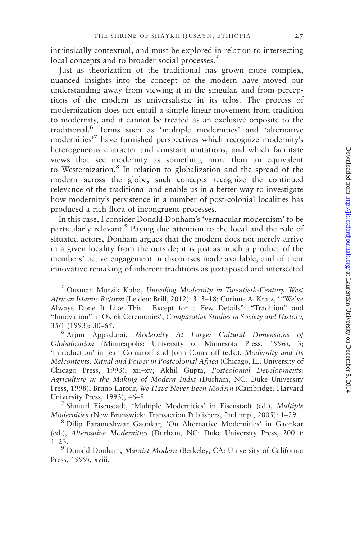intrinsically contextual, and must be explored in relation to intersecting local concepts and to broader social processes.<sup>5</sup>

Just as theorization of the traditional has grown more complex, nuanced insights into the concept of the modern have moved our understanding away from viewing it in the singular, and from perceptions of the modern as universalistic in its telos. The process of modernization does not entail a simple linear movement from tradition to modernity, and it cannot be treated as an exclusive opposite to the traditional.<sup>6</sup> Terms such as 'multiple modernities' and 'alternative modernities'<sup>7</sup> have furnished perspectives which recognize modernity's heterogeneous character and constant mutations, and which facilitate views that see modernity as something more than an equivalent to Westernization.<sup>8</sup> In relation to globalization and the spread of the modern across the globe, such concepts recognize the continued relevance of the traditional and enable us in a better way to investigate how modernity's persistence in a number of post-colonial localities has produced a rich flora of incongruent processes.

In this case, I consider Donald Donham's 'vernacular modernism' to be particularly relevant.<sup>9</sup> Paying due attention to the local and the role of situated actors, Donham argues that the modern does not merely arrive in a given locality from the outside; it is just as much a product of the members' active engagement in discourses made available, and of their innovative remaking of inherent traditions as juxtaposed and intersected

<sup>5</sup> Ousman Murzik Kobo, Unveiling Modernity in Twentieth-Century West African Islamic Reform (Leiden: Brill, 2012): 313–18; Corinne A. Kratz, ' ''We've Always Done It Like This... Except for a Few Details'': ''Tradition'' and "Innovation" in Okiek Ceremonies', Comparative Studies in Society and History, 35/1 (1993): 30–65. <sup>6</sup> Arjun Appadurai, Modernity At Large: Cultural Dimensions of

Globalization (Minneapolis: University of Minnesota Press, 1996), 3; 'Introduction' in Jean Comaroff and John Comaroff (eds.), Modernity and Its Malcontents: Ritual and Power in Postcolonial Africa (Chicago, IL: University of Chicago Press, 1993); xii–xv; Akhil Gupta, Postcolonial Developments: Agriculture in the Making of Modern India (Durham, NC: Duke University Press, 1998); Bruno Latour, We Have Never Been Modern (Cambridge: Harvard University Press, 1993), 46–8. <sup>7</sup> Shmuel Eisenstadt, 'Multiple Modernities' in Eisenstadt (ed.), Multiple

Modernities (New Brunswick: Transaction Publishers, 2nd imp., 2005): 1–29. <sup>8</sup> Dilip Parameshwar Gaonkar, 'On Alternative Modernities' in Gaonkar

(ed.), Alternative Modernities (Durham, NC: Duke University Press, 2001):

1–23.<br><sup>9</sup> Donald Donham, *Marxist Modern* (Berkeley, CA: University of California Press, 1999), xviii.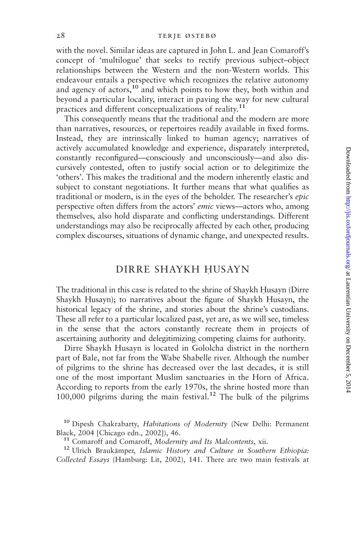with the novel. Similar ideas are captured in John L. and Jean Comaroff's concept of 'multilogue' that seeks to rectify previous subject–object relationships between the Western and the non-Western worlds. This endeavour entails a perspective which recognizes the relative autonomy and agency of actors, $10$  and which points to how they, both within and beyond a particular locality, interact in paving the way for new cultural practices and different conceptualizations of reality.<sup>11</sup>

This consequently means that the traditional and the modern are more than narratives, resources, or repertoires readily available in fixed forms. Instead, they are intrinsically linked to human agency; narratives of actively accumulated knowledge and experience, disparately interpreted, constantly reconfigured—consciously and unconsciously—and also discursively contested, often to justify social action or to delegitimize the 'others'. This makes the traditional and the modern inherently elastic and subject to constant negotiations. It further means that what qualifies as traditional or modern, is in the eyes of the beholder. The researcher's epic perspective often differs from the actors' emic views—actors who, among themselves, also hold disparate and conflicting understandings. Different understandings may also be reciprocally affected by each other, producing complex discourses, situations of dynamic change, and unexpected results.

## DIRRE SHAYKH HUSAYN

The traditional in this case is related to the shrine of Shaykh Husayn (Dirre Shaykh Eusayn); to narratives about the figure of Shaykh Eusayn, the historical legacy of the shrine, and stories about the shrine's custodians. These all refer to a particular localized past, yet are, as we will see, timeless in the sense that the actors constantly recreate them in projects of ascertaining authority and delegitimizing competing claims for authority.

Dirre Shaykh Eusayn is located in Gololcha district in the northern part of Bale, not far from the Wabe Shabelle river. Although the number of pilgrims to the shrine has decreased over the last decades, it is still one of the most important Muslim sanctuaries in the Horn of Africa. According to reports from the early 1970s, the shrine hosted more than 100,000 pilgrims during the main festival.<sup>12</sup> The bulk of the pilgrims

<sup>10</sup> Dipesh Chakrabarty, Habitations of Modernity (New Delhi: Permanent Black, 2004 [Chicago edn., 2002]), 46.<br><sup>11</sup> Comaroff and Comaroff, Modernity and Its Malcontents, xii.<br><sup>12</sup> Ulrich Braukämper, *Islamic History and Culture in Southern Ethiopia*:

Collected Essays (Hamburg: Lit, 2002), 141. There are two main festivals at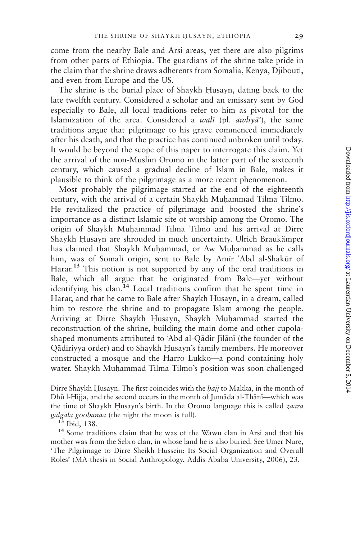come from the nearby Bale and Arsi areas, yet there are also pilgrims from other parts of Ethiopia. The guardians of the shrine take pride in the claim that the shrine draws adherents from Somalia, Kenya, Djibouti, and even from Europe and the US.

The shrine is the burial place of Shaykh Husayn, dating back to the late twelfth century. Considered a scholar and an emissary sent by God especially to Bale, all local traditions refer to him as pivotal for the Islamization of the area. Considered a wall (pl.  $\frac{avdiv\vec{a}}{n}$ ), the same traditions argue that pilgrimage to his grave commenced immediately after his death, and that the practice has continued unbroken until today. It would be beyond the scope of this paper to interrogate this claim. Yet the arrival of the non-Muslim Oromo in the latter part of the sixteenth century, which caused a gradual decline of Islam in Bale, makes it plausible to think of the pilgrimage as a more recent phenomenon.

Most probably the pilgrimage started at the end of the eighteenth century, with the arrival of a certain Shaykh Muhammad Tilma Tilmo. He revitalized the practice of pilgrimage and boosted the shrine's importance as a distinct Islamic site of worship among the Oromo. The origin of Shaykh Muḥammad Tilma Tilmo and his arrival at Dirre Shaykh Husayn are shrouded in much uncertainty. Ulrich Braukämper has claimed that Shaykh Muhammad, or Aw Muhammad as he calls him, was of Somali origin, sent to Bale by Amir 'Abd al-Shakūr of Harar.<sup>13</sup> This notion is not supported by any of the oral traditions in Bale, which all argue that he originated from Bale—yet without identifying his clan.<sup>14</sup> Local traditions confirm that he spent time in Harar, and that he came to Bale after Shaykh Eusayn, in a dream, called him to restore the shrine and to propagate Islam among the people. Arriving at Dirre Shaykh Husayn, Shaykh Muhammad started the reconstruction of the shrine, building the main dome and other cupolashaped monuments attributed to 'Abd al-Qādir Jīlānī (the founder of the Q:diriyya order) and to Shaykh Eusayn's family members. He moreover constructed a mosque and the Harro Lukko—a pond containing holy water. Shaykh Muhammad Tilma Tilmo's position was soon challenged

Dirre Shaykh Husayn. The first coincides with the *hajj* to Makka, in the month of Dhū l-Hijja, and the second occurs in the month of Jumāda al-Thānī—which was the time of Shaykh Husayn's birth. In the Oromo language this is called *zaara* galgala goobanaa (the night the moon is full).<br><sup>13</sup> Ibid, 138.<br><sup>14</sup> Some traditions claim that he was of the Wawu clan in Arsi and that his

mother was from the Sebro clan, in whose land he is also buried. See Umer Nure, 'The Pilgrimage to Dirre Sheikh Hussein: Its Social Organization and Overall Roles' (MA thesis in Social Anthropology, Addis Ababa University, 2006), 23.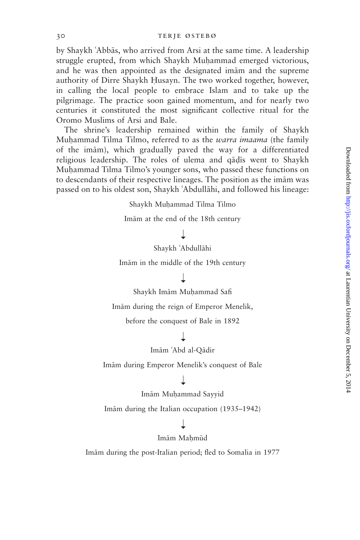#### 30 TERJE ØSTEBØ

by Shaykh 'Abbās, who arrived from Arsi at the same time. A leadership struggle erupted, from which Shaykh Muhammad emerged victorious, and he was then appointed as the designated imam and the supreme authority of Dirre Shaykh Eusayn. The two worked together, however, in calling the local people to embrace Islam and to take up the pilgrimage. The practice soon gained momentum, and for nearly two centuries it constituted the most significant collective ritual for the Oromo Muslims of Arsi and Bale.

The shrine's leadership remained within the family of Shaykh Muhammad Tilma Tilmo, referred to as the warra imaama (the family of the imam), which gradually paved the way for a differentiated religious leadership. The roles of ulema and qādīs went to Shaykh Muhammad Tilma Tilmo's younger sons, who passed these functions on to descendants of their respective lineages. The position as the imam was passed on to his oldest son, Shaykh 'Abdullāhi, and followed his lineage:

Shaykh Muhammad Tilma Tilmo

Imam at the end of the 18th century

 $\downarrow$ 

Shaykh 'Abdullāhi

Imām in the middle of the 19th century

 $\downarrow$ 

Shaykh Imām Muhammad Safi

Imām during the reign of Emperor Menelik,

before the conquest of Bale in 1892

 $\downarrow$ 

#### Imām 'Abd al-Qādir

Imām during Emperor Menelik's conquest of Bale

## $\downarrow$

Imām Muhammad Sayyid

Imam during the Italian occupation (1935–1942)

## $\downarrow$

#### Imām Mahmūd

Imam during the post-Italian period; fled to Somalia in 1977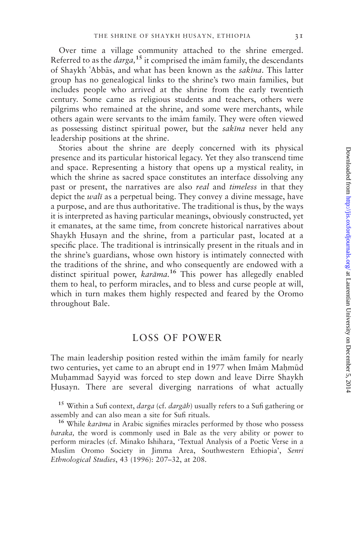Over time a village community attached to the shrine emerged. Referred to as the  $darga$ ,<sup>15</sup> it comprised the imam family, the descendants of Shaykh 'Abbās, and what has been known as the sakīna. This latter group has no genealogical links to the shrine's two main families, but includes people who arrived at the shrine from the early twentieth century. Some came as religious students and teachers, others were pilgrims who remained at the shrine, and some were merchants, while others again were servants to the imam family. They were often viewed as possessing distinct spiritual power, but the *sakina* never held any leadership positions at the shrine.

Stories about the shrine are deeply concerned with its physical presence and its particular historical legacy. Yet they also transcend time and space. Representing a history that opens up a mystical reality, in which the shrine as sacred space constitutes an interface dissolving any past or present, the narratives are also real and timeless in that they depict the wali as a perpetual being. They convey a divine message, have a purpose, and are thus authoritative. The traditional is thus, by the ways it is interpreted as having particular meanings, obviously constructed, yet it emanates, at the same time, from concrete historical narratives about Shaykh Eusayn and the shrine, from a particular past, located at a specific place. The traditional is intrinsically present in the rituals and in the shrine's guardians, whose own history is intimately connected with the traditions of the shrine, and who consequently are endowed with a distinct spiritual power,  $karāma$ <sup>16</sup> This power has allegedly enabled them to heal, to perform miracles, and to bless and curse people at will, which in turn makes them highly respected and feared by the Oromo throughout Bale.

## LOSS OF POWER

The main leadership position rested within the imam family for nearly two centuries, yet came to an abrupt end in 1977 when Imām Maḥmūd Muhammad Sayyid was forced to step down and leave Dirre Shaykh Eusayn. There are several diverging narrations of what actually

<sup>15</sup> Within a Sufi context, *darga* (cf. *dargāh*) usually refers to a Sufi gathering or assembly and can also mean a site for Sufi rituals.

<sup>16</sup> While *karāma* in Arabic signifies miracles performed by those who possess baraka, the word is commonly used in Bale as the very ability or power to perform miracles (cf. Minako Ishihara, 'Textual Analysis of a Poetic Verse in a Muslim Oromo Society in Jimma Area, Southwestern Ethiopia', Senri Ethnological Studies, 43 (1996): 207–32, at 208.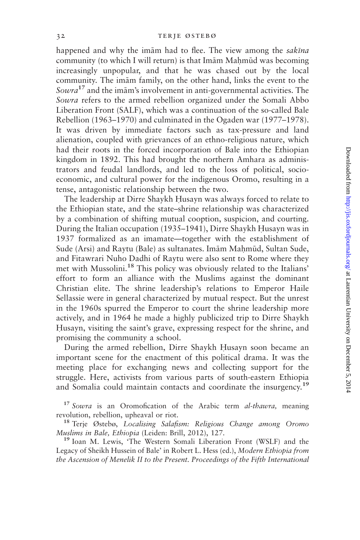happened and why the imam had to flee. The view among the sakina community (to which I will return) is that Imam Mahmud was becoming increasingly unpopular, and that he was chased out by the local community. The imam family, on the other hand, links the event to the  $Sowra^{17}$  and the imam's involvement in anti-governmental activities. The Sowra refers to the armed rebellion organized under the Somali Abbo Liberation Front (SALF), which was a continuation of the so-called Bale Rebellion (1963–1970) and culminated in the Ogaden war (1977–1978). It was driven by immediate factors such as tax-pressure and land alienation, coupled with grievances of an ethno-religious nature, which had their roots in the forced incorporation of Bale into the Ethiopian kingdom in 1892. This had brought the northern Amhara as administrators and feudal landlords, and led to the loss of political, socioeconomic, and cultural power for the indigenous Oromo, resulting in a tense, antagonistic relationship between the two.

The leadership at Dirre Shaykh Eusayn was always forced to relate to the Ethiopian state, and the state–shrine relationship was characterized by a combination of shifting mutual cooption, suspicion, and courting. During the Italian occupation (1935–1941), Dirre Shaykh Husayn was in 1937 formalized as an imamate—together with the establishment of Sude (Arsi) and Raytu (Bale) as sultanates. Imām Mahmūd, Sultan Sude, and Fitawrari Nuho Dadhi of Raytu were also sent to Rome where they met with Mussolini.<sup>18</sup> This policy was obviously related to the Italians' effort to form an alliance with the Muslims against the dominant Christian elite. The shrine leadership's relations to Emperor Haile Sellassie were in general characterized by mutual respect. But the unrest in the 1960s spurred the Emperor to court the shrine leadership more actively, and in 1964 he made a highly publicized trip to Dirre Shaykh Eusayn, visiting the saint's grave, expressing respect for the shrine, and promising the community a school.

During the armed rebellion, Dirre Shaykh Eusayn soon became an important scene for the enactment of this political drama. It was the meeting place for exchanging news and collecting support for the struggle. Here, activists from various parts of south-eastern Ethiopia and Somalia could maintain contacts and coordinate the insurgency.<sup>19</sup>

 $17$  Sowra is an Oromofication of the Arabic term al-thawra, meaning

revolution, rebellion, upheaval or riot.<br><sup>18</sup> Terje Østebø, *Localising Salafism: Religious Change among Oromo*<br>*Muslims in Bale, Ethiopia* (Leiden: Brill, 2012), 127.

<sup>19</sup> Ioan M. Lewis, 'The Western Somali Liberation Front (WSLF) and the Legacy of Sheikh Hussein of Bale' in Robert L. Hess (ed.), Modern Ethiopia from the Ascension of Menelik II to the Present. Proceedings of the Fifth International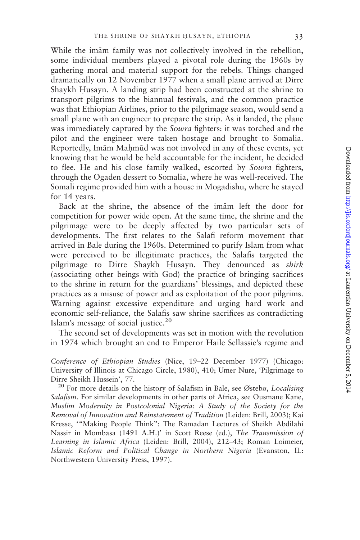While the imam family was not collectively involved in the rebellion, some individual members played a pivotal role during the 1960s by gathering moral and material support for the rebels. Things changed dramatically on 12 November 1977 when a small plane arrived at Dirre Shaykh Eusayn. A landing strip had been constructed at the shrine to transport pilgrims to the biannual festivals, and the common practice was that Ethiopian Airlines, prior to the pilgrimage season, would send a small plane with an engineer to prepare the strip. As it landed, the plane was immediately captured by the Sowra fighters: it was torched and the pilot and the engineer were taken hostage and brought to Somalia. Reportedly, Imām Maḥmūd was not involved in any of these events, yet knowing that he would be held accountable for the incident, he decided to flee. He and his close family walked, escorted by Sowra fighters, through the Ogaden dessert to Somalia, where he was well-received. The Somali regime provided him with a house in Mogadishu, where he stayed for 14 years.

Back at the shrine, the absence of the imam left the door for competition for power wide open. At the same time, the shrine and the pilgrimage were to be deeply affected by two particular sets of developments. The first relates to the Salafi reform movement that arrived in Bale during the 1960s. Determined to purify Islam from what were perceived to be illegitimate practices, the Salafis targeted the pilgrimage to Dirre Shaykh Husayn. They denounced as shirk (associating other beings with God) the practice of bringing sacrifices to the shrine in return for the guardians' blessings, and depicted these practices as a misuse of power and as exploitation of the poor pilgrims. Warning against excessive expenditure and urging hard work and economic self-reliance, the Salafis saw shrine sacrifices as contradicting Islam's message of social justice.<sup>20</sup>

The second set of developments was set in motion with the revolution in 1974 which brought an end to Emperor Haile Sellassie's regime and

Conference of Ethiopian Studies (Nice, 19–22 December 1977) (Chicago: University of Illinois at Chicago Circle, 1980), 410; Umer Nure, 'Pilgrimage to Dirre Sheikh Hussein', 77.<br><sup>20</sup> For more details on the history of Salafism in Bale, see Østebø, *Localising* 

Salafism. For similar developments in other parts of Africa, see Ousmane Kane, Muslim Modernity in Postcolonial Nigeria: A Study of the Society for the Removal of Innovation and Reinstatement of Tradition (Leiden: Brill, 2003); Kai Kresse, '''Making People Think'': The Ramadan Lectures of Sheikh Abdilahi Nassir in Mombasa (1491 A.H.)' in Scott Reese (ed.), The Transmission of Learning in Islamic Africa (Leiden: Brill, 2004), 212–43; Roman Loimeier, Islamic Reform and Political Change in Northern Nigeria (Evanston, IL: Northwestern University Press, 1997).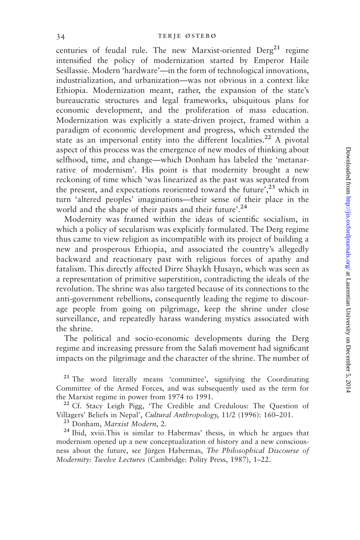#### 34 TERJE ØSTEBØ

centuries of feudal rule. The new Marxist-oriented  $Derg<sup>21</sup>$  regime intensified the policy of modernization started by Emperor Haile Sesllassie. Modern 'hardware'—in the form of technological innovations, industrialization, and urbanization—was not obvious in a context like Ethiopia. Modernization meant, rather, the expansion of the state's bureaucratic structures and legal frameworks, ubiquitous plans for economic development, and the proliferation of mass education. Modernization was explicitly a state-driven project, framed within a paradigm of economic development and progress, which extended the state as an impersonal entity into the different localities.<sup>22</sup> A pivotal aspect of this process was the emergence of new modes of thinking about selfhood, time, and change—which Donham has labeled the 'metanarrative of modernism'. His point is that modernity brought a new reckoning of time which 'was linearized as the past was separated from the present, and expectations reoriented toward the future',  $2^3$  which in turn 'altered peoples' imaginations—their sense of their place in the world and the shape of their pasts and their future'.<sup>24</sup>

Modernity was framed within the ideas of scientific socialism, in which a policy of secularism was explicitly formulated. The Derg regime thus came to view religion as incompatible with its project of building a new and prosperous Ethiopia, and associated the country's allegedly backward and reactionary past with religious forces of apathy and fatalism. This directly affected Dirre Shaykh Husayn, which was seen as a representation of primitive superstition, contradicting the ideals of the revolution. The shrine was also targeted because of its connections to the anti-government rebellions, consequently leading the regime to discourage people from going on pilgrimage, keep the shrine under close surveillance, and repeatedly harass wandering mystics associated with the shrine.

The political and socio-economic developments during the Derg regime and increasing pressure from the Salafi movement had significant impacts on the pilgrimage and the character of the shrine. The number of

<sup>21</sup> The word literally means 'committee', signifying the Coordinating Committee of the Armed Forces, and was subsequently used as the term for the Marxist regime in power from 1974 to 1991.<br><sup>22</sup> Cf. Stacy Leigh Pigg, 'The Credible and Credulous: The Question of

Villagers' Beliefs in Nepal', Cultural Anthropology, 11/2 (1996): 160–201.<br><sup>23</sup> Donham, *Marxist Modern*, 2.<br><sup>24</sup> Ibid, xviii.This is similar to Habermas' thesis, in which he argues that

modernism opened up a new conceptualization of history and a new consciousness about the future, see Jürgen Habermas, The Philosophical Discourse of Modernity: Twelve Lectures (Cambridge: Polity Press, 1987), 1–22.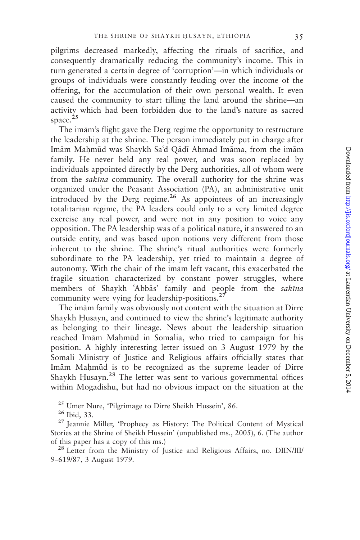pilgrims decreased markedly, affecting the rituals of sacrifice, and consequently dramatically reducing the community's income. This in turn generated a certain degree of 'corruption'—in which individuals or groups of individuals were constantly feuding over the income of the offering, for the accumulation of their own personal wealth. It even caused the community to start tilling the land around the shrine—an activity which had been forbidden due to the land's nature as sacred space.<sup>25</sup>

The imam's flight gave the Derg regime the opportunity to restructure the leadership at the shrine. The person immediately put in charge after Imām Mahmūd was Shaykh Sa'd Qādī Ahmad Imāma, from the imām family. He never held any real power, and was soon replaced by individuals appointed directly by the Derg authorities, all of whom were from the sakina community. The overall authority for the shrine was organized under the Peasant Association (PA), an administrative unit introduced by the Derg regime.<sup>26</sup> As appointees of an increasingly totalitarian regime, the PA leaders could only to a very limited degree exercise any real power, and were not in any position to voice any opposition. The PA leadership was of a political nature, it answered to an outside entity, and was based upon notions very different from those inherent to the shrine. The shrine's ritual authorities were formerly subordinate to the PA leadership, yet tried to maintain a degree of autonomy. With the chair of the imam left vacant, this exacerbated the fragile situation characterized by constant power struggles, where members of Shaykh 'Abbās' family and people from the sakīna community were vying for leadership-positions.<sup>27</sup>

The imam family was obviously not content with the situation at Dirre Shaykh Eusayn, and continued to view the shrine's legitimate authority as belonging to their lineage. News about the leadership situation reached Imām Mahmūd in Somalia, who tried to campaign for his position. A highly interesting letter issued on 3 August 1979 by the Somali Ministry of Justice and Religious affairs officially states that Imām Mahmūd is to be recognized as the supreme leader of Dirre Shaykh Eusayn.<sup>28</sup> The letter was sent to various governmental offices within Mogadishu, but had no obvious impact on the situation at the

<sup>25</sup> Umer Nure, 'Pilgrimage to Dirre Sheikh Hussein', 86.<br><sup>26</sup> Ibid, 33.<br><sup>27</sup> Jeannie Miller, 'Prophecy as History: The Political Content of Mystical Stories at the Shrine of Sheikh Hussein' (unpublished ms., 2005), 6. (The author

of this paper has a copy of this ms.) <sup>28</sup> Letter from the Ministry of Justice and Religious Affairs, no. DIIN/III/ 9–619/87, 3 August 1979.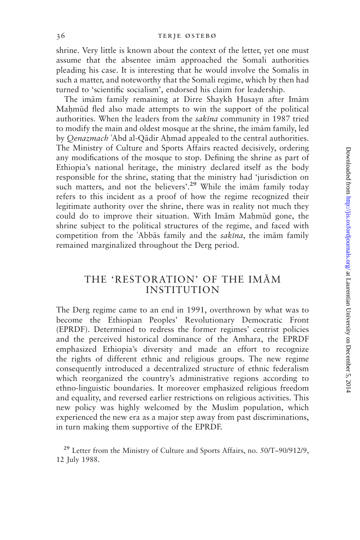shrine. Very little is known about the context of the letter, yet one must assume that the absentee imam approached the Somali authorities pleading his case. It is interesting that he would involve the Somalis in such a matter, and noteworthy that the Somali regime, which by then had turned to 'scientific socialism', endorsed his claim for leadership.

The imam family remaining at Dirre Shaykh Husayn after Imam Mahmūd fled also made attempts to win the support of the political authorities. When the leaders from the sakina community in 1987 tried to modify the main and oldest mosque at the shrine, the imam family, led by Qenazmach 'Abd al-Qādir Ahmad appealed to the central authorities. The Ministry of Culture and Sports Affairs reacted decisively, ordering any modifications of the mosque to stop. Defining the shrine as part of Ethiopia's national heritage, the ministry declared itself as the body responsible for the shrine, stating that the ministry had 'jurisdiction on such matters, and not the believers'.<sup>29</sup> While the imam family today refers to this incident as a proof of how the regime recognized their legitimate authority over the shrine, there was in reality not much they could do to improve their situation. With Imam Mahmud gone, the shrine subject to the political structures of the regime, and faced with competition from the  $\Delta$ bbas family and the sak $\bar{u}$ , the imam family remained marginalized throughout the Derg period.

# THE 'RESTORATION' OF THE IMAM INSTITUTION

The Derg regime came to an end in 1991, overthrown by what was to become the Ethiopian Peoples' Revolutionary Democratic Front (EPRDF). Determined to redress the former regimes' centrist policies and the perceived historical dominance of the Amhara, the EPRDF emphasized Ethiopia's diversity and made an effort to recognize the rights of different ethnic and religious groups. The new regime consequently introduced a decentralized structure of ethnic federalism which reorganized the country's administrative regions according to ethno-linguistic boundaries. It moreover emphasized religious freedom and equality, and reversed earlier restrictions on religious activities. This new policy was highly welcomed by the Muslim population, which experienced the new era as a major step away from past discriminations, in turn making them supportive of the EPRDF.

<sup>29</sup> Letter from the Ministry of Culture and Sports Affairs, no. 50/T–90/912/9, 12 July 1988.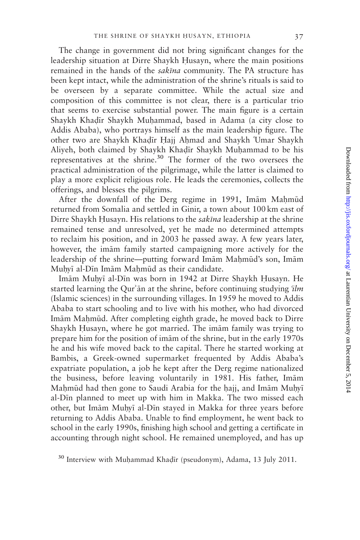The change in government did not bring significant changes for the leadership situation at Dirre Shaykh Eusayn, where the main positions remained in the hands of the *sakīna* community. The PA structure has been kept intact, while the administration of the shrine's rituals is said to be overseen by a separate committee. While the actual size and composition of this committee is not clear, there is a particular trio that seems to exercise substantial power. The main figure is a certain Shaykh Khadīr Shaykh Muhammad, based in Adama (a city close to Addis Ababa), who portrays himself as the main leadership figure. The other two are Shaykh Khadīr Hajj Ahmad and Shaykh 'Umar Shaykh Aliyeh, both claimed by Shaykh Khadīr Shaykh Muhammad to be his representatives at the shrine.<sup>30</sup> The former of the two oversees the practical administration of the pilgrimage, while the latter is claimed to play a more explicit religious role. He leads the ceremonies, collects the offerings, and blesses the pilgrims.

After the downfall of the Derg regime in 1991, Imām Mahmūd returned from Somalia and settled in Ginir, a town about 100 km east of Dirre Shaykh Husayn. His relations to the *sakīna* leadership at the shrine remained tense and unresolved, yet he made no determined attempts to reclaim his position, and in 2003 he passed away. A few years later, however, the imam family started campaigning more actively for the leadership of the shrine—putting forward Imām Mahmūd's son, Imām Muhyī al-Dīn Imām Mahmūd as their candidate.

Imām Muhyī al-Dīn was born in 1942 at Dirre Shaykh Husayn. He started learning the Qur'an at the shrine, before continuing studying  $\hat{u}$ (Islamic sciences) in the surrounding villages. In 1959 he moved to Addis Ababa to start schooling and to live with his mother, who had divorced Imām Mahmūd. After completing eighth grade, he moved back to Dirre Shaykh Husayn, where he got married. The imam family was trying to prepare him for the position of imam of the shrine, but in the early 1970s he and his wife moved back to the capital. There he started working at Bambis, a Greek-owned supermarket frequented by Addis Ababa's expatriate population, a job he kept after the Derg regime nationalized the business, before leaving voluntarily in 1981. His father, Imam Mahmūd had then gone to Saudi Arabia for the hajj, and Imām Muhyī al-Din planned to meet up with him in Makka. The two missed each other, but Imam Muhyi al-Din stayed in Makka for three years before returning to Addis Ababa. Unable to find employment, he went back to school in the early 1990s, finishing high school and getting a certificate in accounting through night school. He remained unemployed, and has up

 $30$  Interview with Muhammad Khadīr (pseudonym), Adama, 13 July 2011.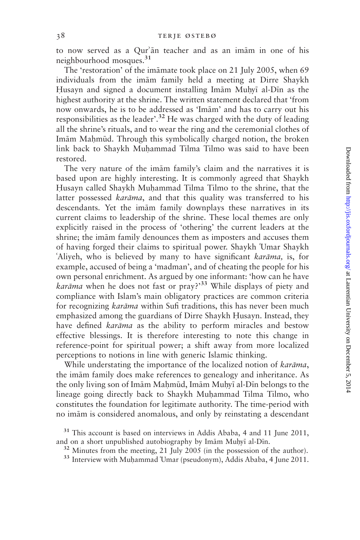to now served as a Qur'an teacher and as an imam in one of his neighbourhood mosques.<sup>31</sup>

The 'restoration' of the imamate took place on 21 July 2005, when 69 individuals from the imam family held a meeting at Dirre Shaykh Husayn and signed a document installing Imam Muhyī al-Din as the highest authority at the shrine. The written statement declared that 'from now onwards, he is to be addressed as 'Imam' and has to carry out his responsibilities as the leader'.<sup>32</sup> He was charged with the duty of leading all the shrine's rituals, and to wear the ring and the ceremonial clothes of Imām Mahmūd. Through this symbolically charged notion, the broken link back to Shaykh Muhammad Tilma Tilmo was said to have been restored.

The very nature of the imam family's claim and the narratives it is based upon are highly interesting. It is commonly agreed that Shaykh Husayn called Shaykh Muhammad Tilma Tilmo to the shrine, that the latter possessed karāma, and that this quality was transferred to his descendants. Yet the imam family downplays these narratives in its current claims to leadership of the shrine. These local themes are only explicitly raised in the process of 'othering' the current leaders at the shrine; the imam family denounces them as imposters and accuses them of having forged their claims to spiritual power. Shaykh 'Umar Shaykh 'Aliyeh, who is believed by many to have significant  $k$ arāma, is, for example, accused of being a 'madman', and of cheating the people for his own personal enrichment. As argued by one informant: 'how can he have *karāma* when he does not fast or pray?<sup>33</sup> While displays of piety and compliance with Islam's main obligatory practices are common criteria for recognizing karāma within Sufi traditions, this has never been much emphasized among the guardians of Dirre Shaykh Husayn. Instead, they have defined *karāma* as the ability to perform miracles and bestow effective blessings. It is therefore interesting to note this change in reference-point for spiritual power; a shift away from more localized perceptions to notions in line with generic Islamic thinking.

While understating the importance of the localized notion of karāma, the imam family does make references to genealogy and inheritance. As the only living son of Imām Mahmūd, Imām Muhyī al-Dīn belongs to the lineage going directly back to Shaykh Muhammad Tilma Tilmo, who constitutes the foundation for legitimate authority. The time-period with no imam is considered anomalous, and only by reinstating a descendant

<sup>&</sup>lt;sup>31</sup> This account is based on interviews in Addis Ababa, 4 and 11 June 2011, and on a short unpublished autobiography by Imām Muḥyī al-Dīn.<br><sup>32</sup> Minutes from the meeting, 21 July 2005 (in the possession of the author).<br><sup>33</sup> Interview with Muhammad Umar (pseudonym), Addis Ababa, 4 June 2011.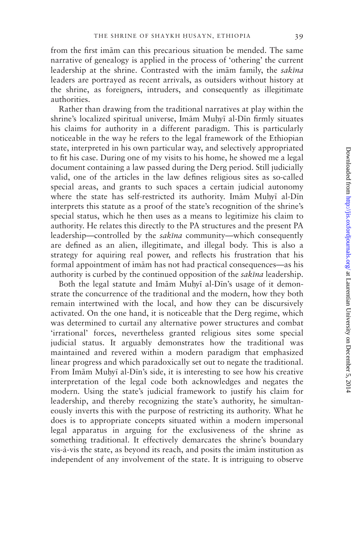from the first imam can this precarious situation be mended. The same narrative of genealogy is applied in the process of 'othering' the current leadership at the shrine. Contrasted with the imam family, the sakina leaders are portrayed as recent arrivals, as outsiders without history at the shrine, as foreigners, intruders, and consequently as illegitimate authorities.

Rather than drawing from the traditional narratives at play within the shrine's localized spiritual universe, Imām Muhyī al-Dīn firmly situates his claims for authority in a different paradigm. This is particularly noticeable in the way he refers to the legal framework of the Ethiopian state, interpreted in his own particular way, and selectively appropriated to fit his case. During one of my visits to his home, he showed me a legal document containing a law passed during the Derg period. Still judicially valid, one of the articles in the law defines religious sites as so-called special areas, and grants to such spaces a certain judicial autonomy where the state has self-restricted its authority. Imam Muhyī al-Dīn interprets this statute as a proof of the state's recognition of the shrine's special status, which he then uses as a means to legitimize his claim to authority. He relates this directly to the PA structures and the present PA leadership—controlled by the *sakina* community—which consequently are defined as an alien, illegitimate, and illegal body. This is also a strategy for aquiring real power, and reflects his frustration that his formal appointment of imam has not had practical consequences—as his authority is curbed by the continued opposition of the *sakina* leadership.

Both the legal statute and Imam Muhyi al-Din's usage of it demonstrate the concurrence of the traditional and the modern, how they both remain intertwined with the local, and how they can be discursively activated. On the one hand, it is noticeable that the Derg regime, which was determined to curtail any alternative power structures and combat 'irrational' forces, nevertheless granted religious sites some special judicial status. It arguably demonstrates how the traditional was maintained and revered within a modern paradigm that emphasized linear progress and which paradoxically set out to negate the traditional. From Imam Muhyi al-Din's side, it is interesting to see how his creative interpretation of the legal code both acknowledges and negates the modern. Using the state's judicial framework to justify his claim for leadership, and thereby recognizing the state's authority, he simultaneously inverts this with the purpose of restricting its authority. What he does is to appropriate concepts situated within a modern impersonal legal apparatus in arguing for the exclusiveness of the shrine as something traditional. It effectively demarcates the shrine's boundary vis-à-vis the state, as beyond its reach, and posits the imam institution as independent of any involvement of the state. It is intriguing to observe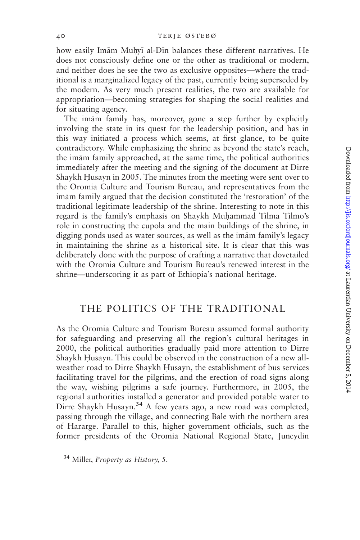how easily Imam Muhyi al-Din balances these different narratives. He does not consciously define one or the other as traditional or modern, and neither does he see the two as exclusive opposites—where the traditional is a marginalized legacy of the past, currently being superseded by the modern. As very much present realities, the two are available for appropriation—becoming strategies for shaping the social realities and for situating agency.

The imam family has, moreover, gone a step further by explicitly involving the state in its quest for the leadership position, and has in this way initiated a process which seems, at first glance, to be quite contradictory. While emphasizing the shrine as beyond the state's reach, the imam family approached, at the same time, the political authorities immediately after the meeting and the signing of the document at Dirre Shaykh Eusayn in 2005. The minutes from the meeting were sent over to the Oromia Culture and Tourism Bureau, and representatives from the imam family argued that the decision constituted the 'restoration' of the traditional legitimate leadership of the shrine. Interesting to note in this regard is the family's emphasis on Shaykh Muhammad Tilma Tilmo's role in constructing the cupola and the main buildings of the shrine, in digging ponds used as water sources, as well as the imam family's legacy in maintaining the shrine as a historical site. It is clear that this was deliberately done with the purpose of crafting a narrative that dovetailed with the Oromia Culture and Tourism Bureau's renewed interest in the shrine—underscoring it as part of Ethiopia's national heritage.

# THE POLITICS OF THE TRADITIONAL

As the Oromia Culture and Tourism Bureau assumed formal authority for safeguarding and preserving all the region's cultural heritages in 2000, the political authorities gradually paid more attention to Dirre Shaykh Eusayn. This could be observed in the construction of a new allweather road to Dirre Shaykh Husayn, the establishment of bus services facilitating travel for the pilgrims, and the erection of road signs along the way, wishing pilgrims a safe journey. Furthermore, in 2005, the regional authorities installed a generator and provided potable water to Dirre Shaykh Husayn.<sup>34</sup> A few years ago, a new road was completed, passing through the village, and connecting Bale with the northern area of Hararge. Parallel to this, higher government officials, such as the former presidents of the Oromia National Regional State, Juneydin

<sup>&</sup>lt;sup>34</sup> Miller, *Property as History*, 5.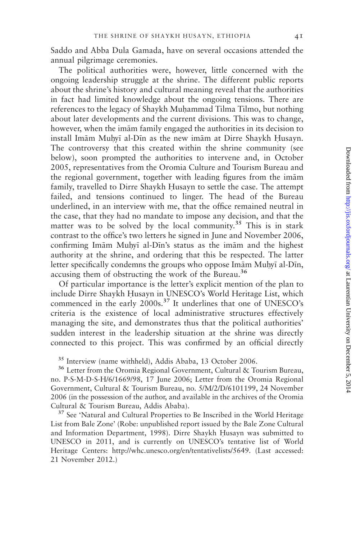Saddo and Abba Dula Gamada, have on several occasions attended the annual pilgrimage ceremonies.

The political authorities were, however, little concerned with the ongoing leadership struggle at the shrine. The different public reports about the shrine's history and cultural meaning reveal that the authorities in fact had limited knowledge about the ongoing tensions. There are references to the legacy of Shaykh Muhammad Tilma Tilmo, but nothing about later developments and the current divisions. This was to change, however, when the imam family engaged the authorities in its decision to install Imām Muhyī al-Dīn as the new imām at Dirre Shaykh Husayn. The controversy that this created within the shrine community (see below), soon prompted the authorities to intervene and, in October 2005, representatives from the Oromia Culture and Tourism Bureau and the regional government, together with leading figures from the imam family, travelled to Dirre Shaykh Husayn to settle the case. The attempt failed, and tensions continued to linger. The head of the Bureau underlined, in an interview with me, that the office remained neutral in the case, that they had no mandate to impose any decision, and that the matter was to be solved by the local community.<sup>35</sup> This is in stark contrast to the office's two letters he signed in June and November 2006, confirming Imam Muhyī al-Dīn's status as the imam and the highest authority at the shrine, and ordering that this be respected. The latter letter specifically condemns the groups who oppose Imam Muhyi al-Din, accusing them of obstructing the work of the Bureau.<sup>36</sup>

Of particular importance is the letter's explicit mention of the plan to include Dirre Shaykh Eusayn in UNESCO's World Heritage List, which commenced in the early 2000s.<sup>37</sup> It underlines that one of UNESCO's criteria is the existence of local administrative structures effectively managing the site, and demonstrates thus that the political authorities' sudden interest in the leadership situation at the shrine was directly connected to this project. This was confirmed by an official directly

<sup>35</sup> Interview (name withheld), Addis Ababa, 13 October 2006.<br><sup>36</sup> Letter from the Oromia Regional Government, Cultural & Tourism Bureau, no. P-S-M-D-S-H/6/1669/98, 17 June 2006; Letter from the Oromia Regional Government, Cultural & Tourism Bureau, no. 5/M/2/D/6101199, 24 November 2006 (in the possession of the author, and available in the archives of the Oromia Cultural & Tourism Bureau, Addis Ababa). <sup>37</sup> See 'Natural and Cultural Properties to Be Inscribed in the World Heritage

List from Bale Zone' (Robe: unpublished report issued by the Bale Zone Cultural and Information Department, 1998). Dirre Shaykh Eusayn was submitted to UNESCO in 2011, and is currently on UNESCO's tentative list of World Heritage Centers: [http://whc.unesco.org/en/tentativelists/5649.](http://whc.unesco.org/en/tentativelists/5649) (Last accessed: 21 November 2012.)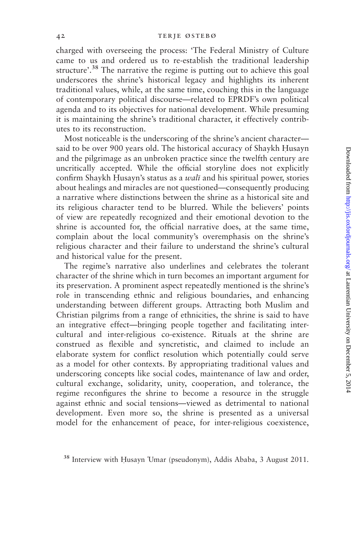charged with overseeing the process: 'The Federal Ministry of Culture came to us and ordered us to re-establish the traditional leadership structure'.<sup>38</sup> The narrative the regime is putting out to achieve this goal underscores the shrine's historical legacy and highlights its inherent traditional values, while, at the same time, couching this in the language of contemporary political discourse—related to EPRDF's own political agenda and to its objectives for national development. While presuming it is maintaining the shrine's traditional character, it effectively contributes to its reconstruction.

Most noticeable is the underscoring of the shrine's ancient character said to be over 900 years old. The historical accuracy of Shaykh Husayn and the pilgrimage as an unbroken practice since the twelfth century are uncritically accepted. While the official storyline does not explicitly confirm Shaykh Husayn's status as a *wali* and his spiritual power, stories about healings and miracles are not questioned—consequently producing a narrative where distinctions between the shrine as a historical site and its religious character tend to be blurred. While the believers' points of view are repeatedly recognized and their emotional devotion to the shrine is accounted for, the official narrative does, at the same time, complain about the local community's overemphasis on the shrine's religious character and their failure to understand the shrine's cultural and historical value for the present.

The regime's narrative also underlines and celebrates the tolerant character of the shrine which in turn becomes an important argument for its preservation. A prominent aspect repeatedly mentioned is the shrine's role in transcending ethnic and religious boundaries, and enhancing understanding between different groups. Attracting both Muslim and Christian pilgrims from a range of ethnicities, the shrine is said to have an integrative effect—bringing people together and facilitating intercultural and inter-religious co-existence. Rituals at the shrine are construed as flexible and syncretistic, and claimed to include an elaborate system for conflict resolution which potentially could serve as a model for other contexts. By appropriating traditional values and underscoring concepts like social codes, maintenance of law and order, cultural exchange, solidarity, unity, cooperation, and tolerance, the regime reconfigures the shrine to become a resource in the struggle against ethnic and social tensions—viewed as detrimental to national development. Even more so, the shrine is presented as a universal model for the enhancement of peace, for inter-religious coexistence,

<sup>&</sup>lt;sup>38</sup> Interview with Husayn 'Umar (pseudonym), Addis Ababa, 3 August 2011.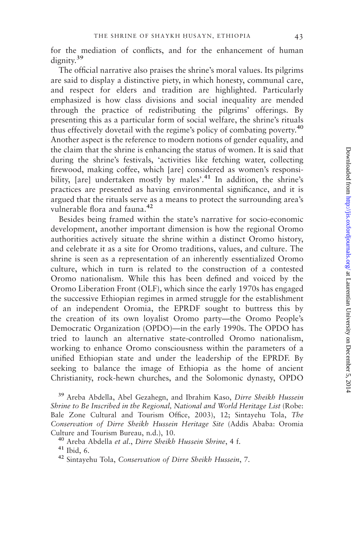for the mediation of conflicts, and for the enhancement of human dignity.<sup>39</sup>

The official narrative also praises the shrine's moral values. Its pilgrims are said to display a distinctive piety, in which honesty, communal care, and respect for elders and tradition are highlighted. Particularly emphasized is how class divisions and social inequality are mended through the practice of redistributing the pilgrims' offerings. By presenting this as a particular form of social welfare, the shrine's rituals thus effectively dovetail with the regime's policy of combating poverty.<sup>40</sup> Another aspect is the reference to modern notions of gender equality, and the claim that the shrine is enhancing the status of women. It is said that during the shrine's festivals, 'activities like fetching water, collecting firewood, making coffee, which [are] considered as women's responsibility, [are] undertaken mostly by males'.<sup>41</sup> In addition, the shrine's practices are presented as having environmental significance, and it is argued that the rituals serve as a means to protect the surrounding area's vulnerable flora and fauna.<sup>42</sup>

Besides being framed within the state's narrative for socio-economic development, another important dimension is how the regional Oromo authorities actively situate the shrine within a distinct Oromo history, and celebrate it as a site for Oromo traditions, values, and culture. The shrine is seen as a representation of an inherently essentialized Oromo culture, which in turn is related to the construction of a contested Oromo nationalism. While this has been defined and voiced by the Oromo Liberation Front (OLF), which since the early 1970s has engaged the successive Ethiopian regimes in armed struggle for the establishment of an independent Oromia, the EPRDF sought to buttress this by the creation of its own loyalist Oromo party—the Oromo People's Democratic Organization (OPDO)—in the early 1990s. The OPDO has tried to launch an alternative state-controlled Oromo nationalism, working to enhance Oromo consciousness within the parameters of a unified Ethiopian state and under the leadership of the EPRDF. By seeking to balance the image of Ethiopia as the home of ancient Christianity, rock-hewn churches, and the Solomonic dynasty, OPDO

<sup>39</sup> Areba Abdella, Abel Gezahegn, and Ibrahim Kaso, Dirre Sheikh Hussein Shrine to Be Inscribed in the Regional, National and World Heritage List (Robe: Bale Zone Cultural and Tourism Office, 2003), 12; Sintayehu Tola, The Conservation of Dirre Sheikh Hussein Heritage Site (Addis Ababa: Oromia

Culture and Tourism Bureau, n.d.), 10.<br>
<sup>40</sup> Areba Abdella *et al.*, *Dirre Sheikh Hussein Shrine*, 4 f.<br>
<sup>41</sup> Ibid, 6.<br>
<sup>42</sup> Sintayehu Tola, Conservation of Dirre Sheikh Hussein, 7.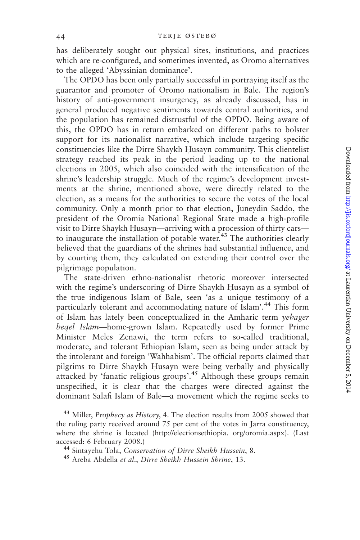has deliberately sought out physical sites, institutions, and practices which are re-configured, and sometimes invented, as Oromo alternatives to the alleged 'Abyssinian dominance'.

The OPDO has been only partially successful in portraying itself as the guarantor and promoter of Oromo nationalism in Bale. The region's history of anti-government insurgency, as already discussed, has in general produced negative sentiments towards central authorities, and the population has remained distrustful of the OPDO. Being aware of this, the OPDO has in return embarked on different paths to bolster support for its nationalist narrative, which include targeting specific constituencies like the Dirre Shaykh Eusayn community. This clientelist strategy reached its peak in the period leading up to the national elections in 2005, which also coincided with the intensification of the shrine's leadership struggle. Much of the regime's development investments at the shrine, mentioned above, were directly related to the election, as a means for the authorities to secure the votes of the local community. Only a month prior to that election, Juneydin Saddo, the president of the Oromia National Regional State made a high-profile visit to Dirre Shaykh Eusayn—arriving with a procession of thirty cars to inaugurate the installation of potable water.<sup>43</sup> The authorities clearly believed that the guardians of the shrines had substantial influence, and by courting them, they calculated on extending their control over the pilgrimage population.

The state-driven ethno-nationalist rhetoric moreover intersected with the regime's underscoring of Dirre Shaykh Husayn as a symbol of the true indigenous Islam of Bale, seen 'as a unique testimony of a particularly tolerant and accommodating nature of Islam'.<sup>44</sup> This form of Islam has lately been conceptualized in the Amharic term yehager beqel Islam—home-grown Islam. Repeatedly used by former Prime Minister Meles Zenawi, the term refers to so-called traditional, moderate, and tolerant Ethiopian Islam, seen as being under attack by the intolerant and foreign 'Wahhabism'. The official reports claimed that pilgrims to Dirre Shaykh Eusayn were being verbally and physically attacked by 'fanatic religious groups'.<sup>45</sup> Although these groups remain unspecified, it is clear that the charges were directed against the dominant Salafi Islam of Bale—a movement which the regime seeks to

 $43$  Miller, *Prophecy as History*, 4. The election results from 2005 showed that the ruling party received around 75 per cent of the votes in Jarra constituency, where the shrine is located [\(http://electionsethiopia. org/oromia.aspx\)](http://electionsethiopia.org/oromia.aspx). (Last accessed: 6 February 2008.)<br><sup>44</sup> Sintayehu Tola, Conservation of Dirre Sheikh Hussein, 8.<br><sup>45</sup> Areba Abdella et al., Dirre Sheikh Hussein Shrine, 13.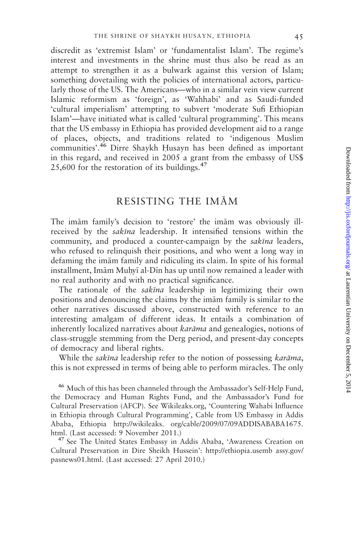discredit as 'extremist Islam' or 'fundamentalist Islam'. The regime's interest and investments in the shrine must thus also be read as an attempt to strengthen it as a bulwark against this version of Islam; something dovetailing with the policies of international actors, particularly those of the US. The Americans—who in a similar vein view current Islamic reformism as 'foreign', as 'Wahhabi' and as Saudi-funded 'cultural imperialism' attempting to subvert 'moderate Sufi Ethiopian Islam'—have initiated what is called 'cultural programming'. This means that the US embassy in Ethiopia has provided development aid to a range of places, objects, and traditions related to 'indigenous Muslim communities'.<sup>46</sup> Dirre Shaykh Husayn has been defined as important in this regard, and received in 2005 a grant from the embassy of US\$ 25,600 for the restoration of its buildings. $47$ 

# RESISTING THE IMAM

The imam family's decision to 'restore' the imam was obviously illreceived by the sakina leadership. It intensified tensions within the community, and produced a counter-campaign by the *sakina* leaders, who refused to relinquish their positions, and who went a long way in defaming the imam family and ridiculing its claim. In spite of his formal installment, Imām Muhyī al-Dīn has up until now remained a leader with no real authority and with no practical significance.

The rationale of the sakina leadership in legitimizing their own positions and denouncing the claims by the imain family is similar to the other narratives discussed above, constructed with reference to an interesting amalgam of different ideas. It entails a combination of inherently localized narratives about *karāma* and genealogies, notions of class-struggle stemming from the Derg period, and present-day concepts of democracy and liberal rights.

While the *sakina* leadership refer to the notion of possessing *karāma*, this is not expressed in terms of being able to perform miracles. The only

<sup>46</sup> Much of this has been channeled through the Ambassador's Self-Help Fund, the Democracy and Human Rights Fund, and the Ambassador's Fund for Cultural Preservation (AFCP). See Wikileaks.org, 'Countering Wahabi Influence in Ethiopia through Cultural Programming', Cable from US Embassy in Addis Ababa, Ethiopia [http://wikileaks. org/cable/2009/07/09ADDISABABA1675.](http://wikileaks.org/cable/2009/07/09ADDISABABA1675.html) [html](http://wikileaks.org/cable/2009/07/09ADDISABABA1675.html). (Last accessed: 9 November 2011.)<br><sup>47</sup> See The United States Embassy in Addis Ababa, 'Awareness Creation on

Cultural Preservation in Dire Sheikh Hussein': [http://ethiopia.usemb assy.gov/](http://ethiopia.usembassy.gov/pasnews01.html) [pasnews01.html.](http://ethiopia.usembassy.gov/pasnews01.html) (Last accessed: 27 April 2010.)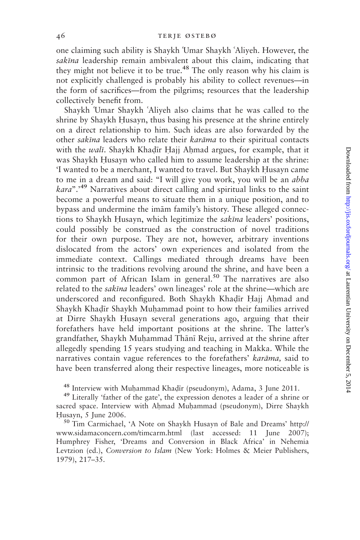one claiming such ability is Shaykh 'Umar Shaykh 'Aliyeh. However, the sakīna leadership remain ambivalent about this claim, indicating that they might not believe it to be true.<sup>48</sup> The only reason why his claim is not explicitly challenged is probably his ability to collect revenues—in the form of sacrifices—from the pilgrims; resources that the leadership collectively benefit from.

Shaykh 'Umar Shaykh 'Aliyeh also claims that he was called to the shrine by Shaykh Husayn, thus basing his presence at the shrine entirely on a direct relationship to him. Such ideas are also forwarded by the other sakīna leaders who relate their karāma to their spiritual contacts with the  $wall$ . Shaykh Khadīr Hajj Ahmad argues, for example, that it was Shaykh Eusayn who called him to assume leadership at the shrine: 'I wanted to be a merchant, I wanted to travel. But Shaykh Eusayn came to me in a dream and said: ''I will give you work, you will be an abba kara".<sup>49</sup> Narratives about direct calling and spiritual links to the saint become a powerful means to situate them in a unique position, and to bypass and undermine the imam family's history. These alleged connections to Shaykh Husayn, which legitimize the *sakīna* leaders' positions, could possibly be construed as the construction of novel traditions for their own purpose. They are not, however, arbitrary inventions dislocated from the actors' own experiences and isolated from the immediate context. Callings mediated through dreams have been intrinsic to the traditions revolving around the shrine, and have been a common part of African Islam in general.<sup>50</sup> The narratives are also related to the *sakīna* leaders' own lineages' role at the shrine—which are underscored and reconfigured. Both Shaykh Khadīr Hajj Ahmad and Shaykh Khadīr Shaykh Muhammad point to how their families arrived at Dirre Shaykh Eusayn several generations ago, arguing that their forefathers have held important positions at the shrine. The latter's grandfather, Shaykh Muhammad Thānī Reju, arrived at the shrine after allegedly spending 15 years studying and teaching in Makka. While the narratives contain vague references to the forefathers' karāma, said to have been transferred along their respective lineages, more noticeable is

<sup>48</sup> Interview with Muhammad Khadīr (pseudonym), Adama, 3 June 2011.<br><sup>49</sup> Literally 'father of the gate', the expression denotes a leader of a shrine or

sacred space. Interview with Ahmad Muhammad (pseudonym), Dirre Shaykh Eusayn, 5 June 2006.

<sup>50</sup> Tim Carmichael, 'A Note on Shaykh Husayn of Bale and Dreams' [http://](http://www.sidamaconcern.com/timcarm.html) [www.sidamaconcern.com/timcarm.html](http://www.sidamaconcern.com/timcarm.html) (last accessed: 11 June 2007); Humphrey Fisher, 'Dreams and Conversion in Black Africa' in Nehemia Levtzion (ed.), Conversion to Islam (New York: Holmes & Meier Publishers, 1979), 217–35.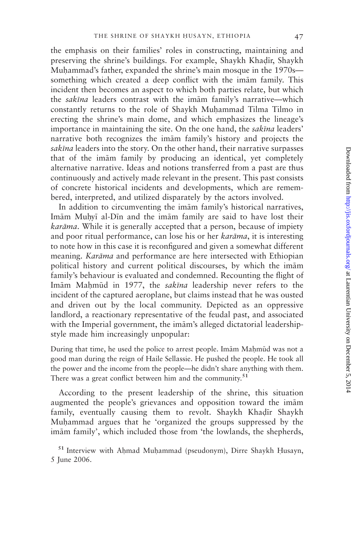the emphasis on their families' roles in constructing, maintaining and preserving the shrine's buildings. For example, Shaykh Khadīr, Shaykh Muhammad's father, expanded the shrine's main mosque in the 1970s something which created a deep conflict with the imam family. This incident then becomes an aspect to which both parties relate, but which the *sakīna* leaders contrast with the imam family's narrative—which constantly returns to the role of Shaykh Muhammad Tilma Tilmo in erecting the shrine's main dome, and which emphasizes the lineage's importance in maintaining the site. On the one hand, the *sakina* leaders' narrative both recognizes the imam family's history and projects the sakina leaders into the story. On the other hand, their narrative surpasses that of the imam family by producing an identical, yet completely alternative narrative. Ideas and notions transferred from a past are thus continuously and actively made relevant in the present. This past consists of concrete historical incidents and developments, which are remembered, interpreted, and utilized disparately by the actors involved.

In addition to circumventing the imam family's historical narratives, Imam Muhyi al-Din and the imam family are said to have lost their karāma. While it is generally accepted that a person, because of impiety and poor ritual performance, can lose his or her *karāma*, it is interesting to note how in this case it is reconfigured and given a somewhat different meaning. Karāma and performance are here intersected with Ethiopian political history and current political discourses, by which the imam family's behaviour is evaluated and condemned. Recounting the flight of Imām Mahmūd in 1977, the sakīna leadership never refers to the incident of the captured aeroplane, but claims instead that he was ousted and driven out by the local community. Depicted as an oppressive landlord, a reactionary representative of the feudal past, and associated with the Imperial government, the imam's alleged dictatorial leadershipstyle made him increasingly unpopular:

During that time, he used the police to arrest people. Imam Mahmud was not a good man during the reign of Haile Sellassie. He pushed the people. He took all the power and the income from the people—he didn't share anything with them. There was a great conflict between him and the community.<sup>51</sup>

According to the present leadership of the shrine, this situation augmented the people's grievances and opposition toward the imam family, eventually causing them to revolt. Shaykh Khadir Shaykh Muhammad argues that he 'organized the groups suppressed by the imam family', which included those from 'the lowlands, the shepherds,

<sup>51</sup> Interview with Ahmad Muhammad (pseudonym), Dirre Shaykh Husayn, 5 June 2006.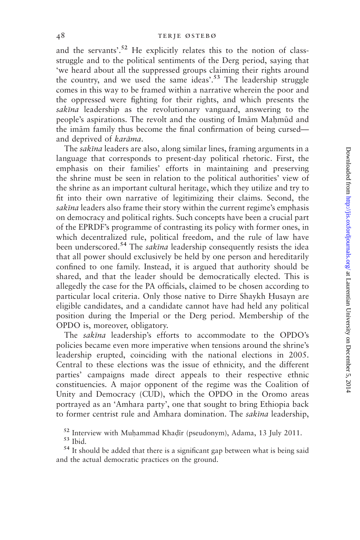and the servants'.<sup>52</sup> He explicitly relates this to the notion of classstruggle and to the political sentiments of the Derg period, saying that 'we heard about all the suppressed groups claiming their rights around the country, and we used the same ideas'.<sup>53</sup> The leadership struggle comes in this way to be framed within a narrative wherein the poor and the oppressed were fighting for their rights, and which presents the sakina leadership as the revolutionary vanguard, answering to the people's aspirations. The revolt and the ousting of Imam Mahmud and the imam family thus become the final confirmation of being cursed and deprived of karāma.

The *sakīna* leaders are also, along similar lines, framing arguments in a language that corresponds to present-day political rhetoric. First, the emphasis on their families' efforts in maintaining and preserving the shrine must be seen in relation to the political authorities' view of the shrine as an important cultural heritage, which they utilize and try to fit into their own narrative of legitimizing their claims. Second, the sak*ina* leaders also frame their story within the current regime's emphasis on democracy and political rights. Such concepts have been a crucial part of the EPRDF's programme of contrasting its policy with former ones, in which decentralized rule, political freedom, and the rule of law have been underscored.<sup>54</sup> The *sakīna* leadership consequently resists the idea that all power should exclusively be held by one person and hereditarily confined to one family. Instead, it is argued that authority should be shared, and that the leader should be democratically elected. This is allegedly the case for the PA officials, claimed to be chosen according to particular local criteria. Only those native to Dirre Shaykh Husayn are eligible candidates, and a candidate cannot have had held any political position during the Imperial or the Derg period. Membership of the OPDO is, moreover, obligatory.

The sakina leadership's efforts to accommodate to the OPDO's policies became even more imperative when tensions around the shrine's leadership erupted, coinciding with the national elections in 2005. Central to these elections was the issue of ethnicity, and the different parties' campaigns made direct appeals to their respective ethnic constituencies. A major opponent of the regime was the Coalition of Unity and Democracy (CUD), which the OPDO in the Oromo areas portrayed as an 'Amhara party', one that sought to bring Ethiopia back to former centrist rule and Amhara domination. The sakina leadership,

<sup>52</sup> Interview with Muhammad Khadīr (pseudonym), Adama, 13 July 2011.<br><sup>53</sup> Ibid.  $^{54}$  It should be added that there is a significant gap between what is being said

and the actual democratic practices on the ground.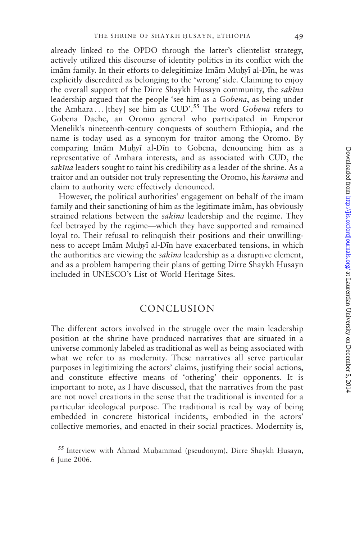already linked to the OPDO through the latter's clientelist strategy, actively utilized this discourse of identity politics in its conflict with the imām family. In their efforts to delegitimize Imām Muhyī al-Dīn, he was explicitly discredited as belonging to the 'wrong' side. Claiming to enjoy the overall support of the Dirre Shaykh Husayn community, the sakina leadership argued that the people 'see him as a Gobena, as being under the Amhara ... [they] see him as CUD'.<sup>55</sup> The word Gobena refers to Gobena Dache, an Oromo general who participated in Emperor Menelik's nineteenth-century conquests of southern Ethiopia, and the name is today used as a synonym for traitor among the Oromo. By comparing Imam Muhyi al-Din to Gobena, denouncing him as a representative of Amhara interests, and as associated with CUD, the sakina leaders sought to taint his credibility as a leader of the shrine. As a traitor and an outsider not truly representing the Oromo, his karāma and claim to authority were effectively denounced.

However, the political authorities' engagement on behalf of the imam family and their sanctioning of him as the legitimate imam, has obviously strained relations between the *sakīna* leadership and the regime. They feel betrayed by the regime—which they have supported and remained loyal to. Their refusal to relinquish their positions and their unwillingness to accept Imām Muhyī al-Dīn have exacerbated tensions, in which the authorities are viewing the *sakīna* leadership as a disruptive element, and as a problem hampering their plans of getting Dirre Shaykh Husayn included in UNESCO's List of World Heritage Sites.

## CONCLUSION

The different actors involved in the struggle over the main leadership position at the shrine have produced narratives that are situated in a universe commonly labeled as traditional as well as being associated with what we refer to as modernity. These narratives all serve particular purposes in legitimizing the actors' claims, justifying their social actions, and constitute effective means of 'othering' their opponents. It is important to note, as I have discussed, that the narratives from the past are not novel creations in the sense that the traditional is invented for a particular ideological purpose. The traditional is real by way of being embedded in concrete historical incidents, embodied in the actors' collective memories, and enacted in their social practices. Modernity is,

<sup>55</sup> Interview with Ahmad Muhammad (pseudonym), Dirre Shaykh Husayn, 6 June 2006.